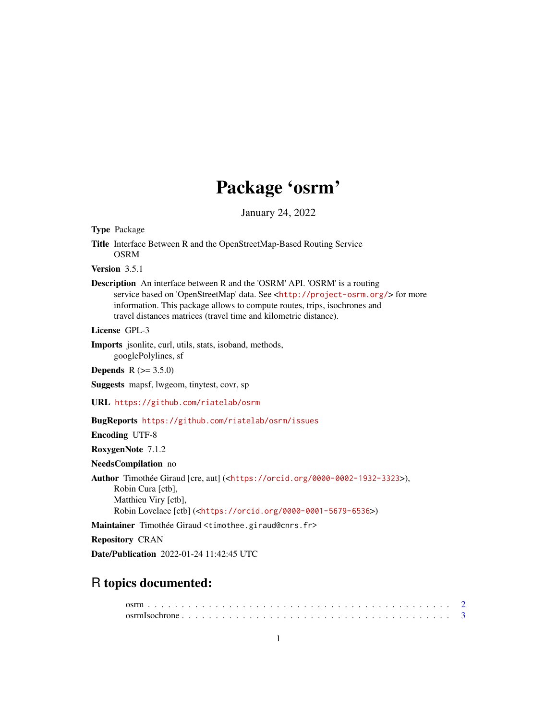## Package 'osrm'

January 24, 2022

Type Package

Title Interface Between R and the OpenStreetMap-Based Routing Service OSRM

Version 3.5.1

Description An interface between R and the 'OSRM' API. 'OSRM' is a routing service based on 'OpenStreetMap' data. See <<http://project-osrm.org/>> for more information. This package allows to compute routes, trips, isochrones and travel distances matrices (travel time and kilometric distance).

License GPL-3

Imports jsonlite, curl, utils, stats, isoband, methods,

googlePolylines, sf

**Depends** R  $(>= 3.5.0)$ 

Suggests mapsf, lwgeom, tinytest, covr, sp

URL <https://github.com/riatelab/osrm>

BugReports <https://github.com/riatelab/osrm/issues>

Encoding UTF-8

RoxygenNote 7.1.2

NeedsCompilation no

Author Timothée Giraud [cre, aut] (<<https://orcid.org/0000-0002-1932-3323>>), Robin Cura [ctb], Matthieu Viry [ctb], Robin Lovelace [ctb] (<<https://orcid.org/0000-0001-5679-6536>>)

Maintainer Timothée Giraud <timothee.giraud@cnrs.fr>

Repository CRAN

Date/Publication 2022-01-24 11:42:45 UTC

### R topics documented: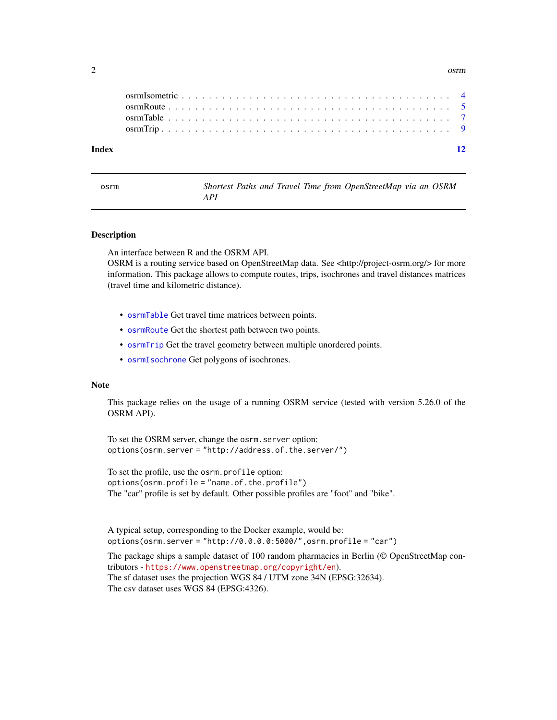<span id="page-1-0"></span>2 osrm $\sim$  0.000  $\mu$  0.000  $\mu$  0.000  $\mu$  0.000  $\mu$  0.000  $\mu$  0.000  $\mu$  0.000  $\mu$  0.000  $\mu$  0.000  $\mu$  0.000  $\mu$  0.000  $\mu$  0.000  $\mu$  0.000  $\mu$  0.000  $\mu$  0.000  $\mu$  0.000  $\mu$  0.000  $\mu$  0.000  $\mu$  0.000  $\mu$  0

| Index |  |  |  |  |  |  |  |  |  |  |  |  |  |  |  |  |  |  | $-12$ |  |
|-------|--|--|--|--|--|--|--|--|--|--|--|--|--|--|--|--|--|--|-------|--|

| osrm |     |  |  | Shortest Paths and Travel Time from OpenStreetMap via an OSRM |  |  |
|------|-----|--|--|---------------------------------------------------------------|--|--|
|      | API |  |  |                                                               |  |  |

#### Description

An interface between R and the OSRM API.

OSRM is a routing service based on OpenStreetMap data. See <http://project-osrm.org/> for more information. This package allows to compute routes, trips, isochrones and travel distances matrices (travel time and kilometric distance).

- [osrmTable](#page-6-1) Get travel time matrices between points.
- [osrmRoute](#page-4-1) Get the shortest path between two points.
- [osrmTrip](#page-8-1) Get the travel geometry between multiple unordered points.
- [osrmIsochrone](#page-2-1) Get polygons of isochrones.

#### Note

This package relies on the usage of a running OSRM service (tested with version 5.26.0 of the OSRM API).

To set the OSRM server, change the osrm.server option: options(osrm.server = "http://address.of.the.server/")

To set the profile, use the osrm.profile option: options(osrm.profile = "name.of.the.profile") The "car" profile is set by default. Other possible profiles are "foot" and "bike".

A typical setup, corresponding to the Docker example, would be: options(osrm.server = "http://0.0.0.0:5000/",osrm.profile = "car")

The package ships a sample dataset of 100 random pharmacies in Berlin (© OpenStreetMap contributors - <https://www.openstreetmap.org/copyright/en>). The sf dataset uses the projection WGS 84 / UTM zone 34N (EPSG:32634). The csv dataset uses WGS 84 (EPSG:4326).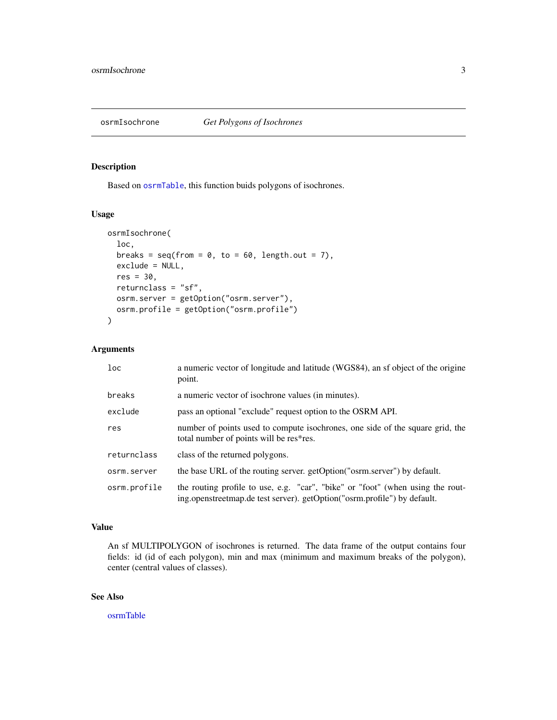<span id="page-2-1"></span><span id="page-2-0"></span>

#### Description

Based on [osrmTable](#page-6-1), this function buids polygons of isochrones.

#### Usage

```
osrmIsochrone(
  loc,
 breaks = seq(from = 0, to = 60, length.out = 7),
  exclude = NULL,
  res = 30,
  returnclass = "sf",
 osrm.server = getOption("osrm.server"),
  osrm.profile = getOption("osrm.profile")
\mathcal{L}
```
#### Arguments

| 1 <sub>oc</sub> | a numeric vector of longitude and latitude (WGS84), an sf object of the origine<br>point.                                                                  |
|-----------------|------------------------------------------------------------------------------------------------------------------------------------------------------------|
| breaks          | a numeric vector of isochrone values (in minutes).                                                                                                         |
| exclude         | pass an optional "exclude" request option to the OSRM API.                                                                                                 |
| res             | number of points used to compute isochrones, one side of the square grid, the<br>total number of points will be res*res.                                   |
| returnclass     | class of the returned polygons.                                                                                                                            |
| osrm.server     | the base URL of the routing server. getOption("osrm.server") by default.                                                                                   |
| osrm.profile    | the routing profile to use, e.g. "car", "bike" or "foot" (when using the rout-<br>ing.openstreetmap.de test server). getOption("osrm.profile") by default. |

#### Value

An sf MULTIPOLYGON of isochrones is returned. The data frame of the output contains four fields: id (id of each polygon), min and max (minimum and maximum breaks of the polygon), center (central values of classes).

#### See Also

[osrmTable](#page-6-1)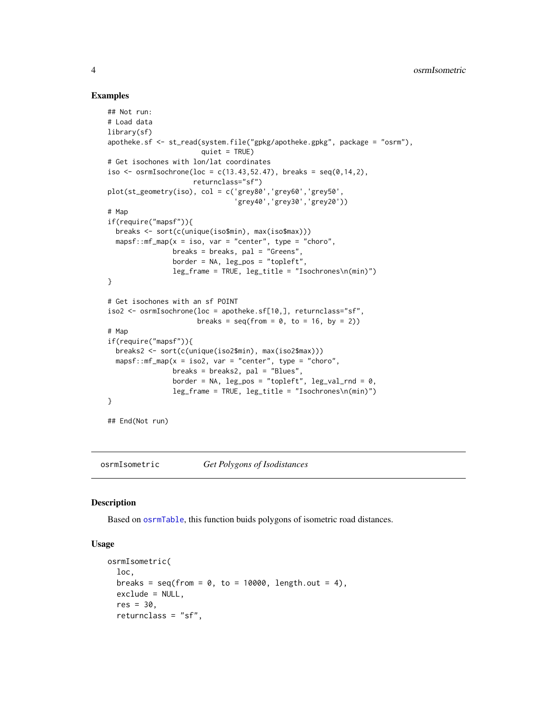#### Examples

```
## Not run:
# Load data
library(sf)
apotheke.sf <- st_read(system.file("gpkg/apotheke.gpkg", package = "osrm"),
                       quiet = TRUE)
# Get isochones with lon/lat coordinates
iso \leq osrmIsochrone(loc = c(13.43,52.47), breaks = seq(0,14,2),
                     returnclass="sf")
plot(st_geometry(iso), col = c('grey80','grey60','grey50',
                               'grey40','grey30','grey20'))
# Map
if(require("mapsf")){
  breaks <- sort(c(unique(iso$min), max(iso$max)))
  mapsf::mf_map(x = iso, var = "center", type = "choro",breaks = breaks, pal = "Greens",border = NA, leg_pos = "topleft",
                leg_frame = TRUE, leg_title = "Isochrones\n(min)")
}
# Get isochones with an sf POINT
iso2 <- osrmIsochrone(loc = apotheke.sf[10,], returnclass="sf",
                      breaks = seq(from = 0, to = 16, by = 2)# Map
if(require("mapsf")){
  breaks2 <- sort(c(unique(iso2$min), max(iso2$max)))
  mapsf::mf_map(x = iso2, var = "center", type = "choro",
                breaks = breaks2, pal = "Blues",
                border = NA, leg_{pos} = "topleft", leg_{val\_rnd} = 0,
                leg_frame = TRUE, leg_title = "Isochrones\n(min)")
}
## End(Not run)
```
osrmIsometric *Get Polygons of Isodistances*

#### Description

Based on [osrmTable](#page-6-1), this function buids polygons of isometric road distances.

#### Usage

```
osrmIsometric(
  loc,
 breaks = seq(from = 0, to = 10000, length.out = 4),
 exclude = NULL,
  res = 30,
  returnclass = "sf",
```
<span id="page-3-0"></span>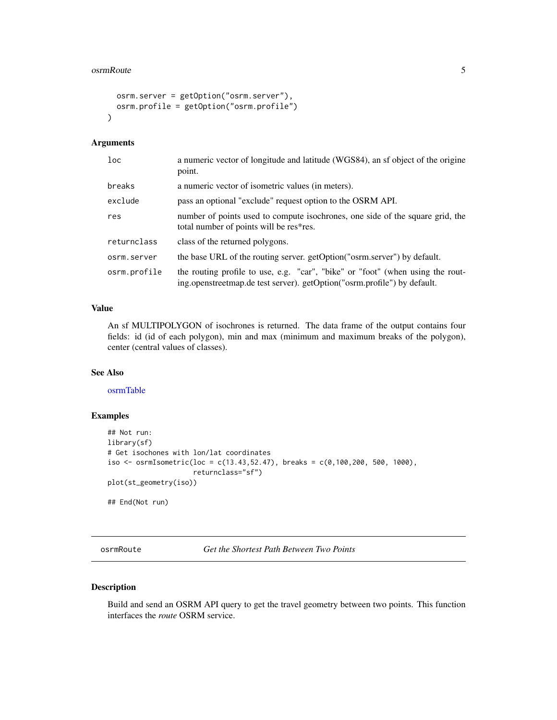#### <span id="page-4-0"></span>osrmRoute 5

```
osrm.server = getOption("osrm.server"),
 osrm.profile = getOption("osrm.profile")
\lambda
```
#### Arguments

| loc          | a numeric vector of longitude and latitude (WGS84), an sf object of the origine<br>point.                                                                  |
|--------------|------------------------------------------------------------------------------------------------------------------------------------------------------------|
| breaks       | a numeric vector of isometric values (in meters).                                                                                                          |
| exclude      | pass an optional "exclude" request option to the OSRM API.                                                                                                 |
| res          | number of points used to compute isochrones, one side of the square grid, the<br>total number of points will be res*res.                                   |
| returnclass  | class of the returned polygons.                                                                                                                            |
| osrm.server  | the base URL of the routing server. getOption("osrm.server") by default.                                                                                   |
| osrm.profile | the routing profile to use, e.g. "car", "bike" or "foot" (when using the rout-<br>ing.openstreetmap.de test server). getOption("osrm.profile") by default. |

#### Value

An sf MULTIPOLYGON of isochrones is returned. The data frame of the output contains four fields: id (id of each polygon), min and max (minimum and maximum breaks of the polygon), center (central values of classes).

#### See Also

[osrmTable](#page-6-1)

#### Examples

```
## Not run:
library(sf)
# Get isochones with lon/lat coordinates
iso <- osrmIsometric(loc = c(13.43,52.47), breaks = c(0,100,200, 500, 1000),
                     returnclass="sf")
plot(st_geometry(iso))
## End(Not run)
```
<span id="page-4-1"></span>osrmRoute *Get the Shortest Path Between Two Points*

#### Description

Build and send an OSRM API query to get the travel geometry between two points. This function interfaces the *route* OSRM service.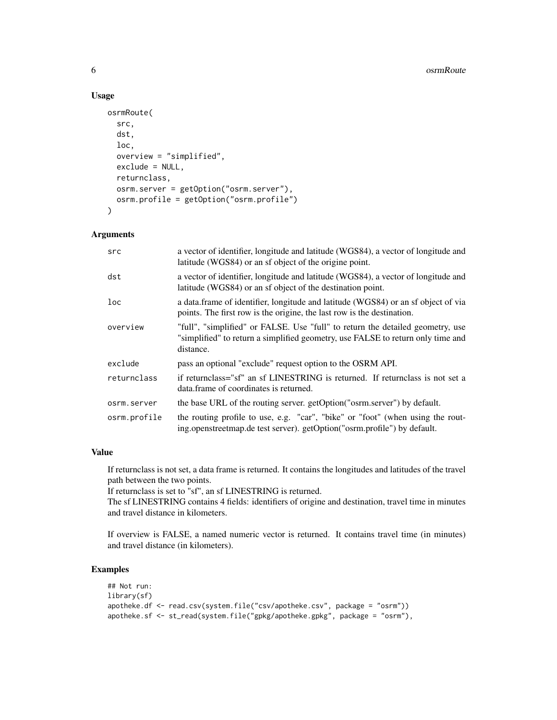#### Usage

```
osrmRoute(
  src,
  dst,
  loc,
  overview = "simplified",
  exclude = NULL,
  returnclass,
  osrm.server = getOption("osrm.server"),
 osrm.profile = getOption("osrm.profile")
\mathcal{E}
```
#### Arguments

| src          | a vector of identifier, longitude and latitude (WGS84), a vector of longitude and<br>latitude (WGS84) or an sf object of the origine point.                                    |
|--------------|--------------------------------------------------------------------------------------------------------------------------------------------------------------------------------|
| dst          | a vector of identifier, longitude and latitude (WGS84), a vector of longitude and<br>latitude (WGS84) or an sf object of the destination point.                                |
| $1$ oc       | a data.frame of identifier, longitude and latitude (WGS84) or an sf object of via<br>points. The first row is the origine, the last row is the destination.                    |
| overview     | "full", "simplified" or FALSE. Use "full" to return the detailed geometry, use<br>"simplified" to return a simplified geometry, use FALSE to return only time and<br>distance. |
| exclude      | pass an optional "exclude" request option to the OSRM API.                                                                                                                     |
| returnclass  | if returnclass="sf" an sf LINESTRING is returned. If returnclass is not set a<br>data frame of coordinates is returned.                                                        |
| osrm.server  | the base URL of the routing server. getOption("osrm.server") by default.                                                                                                       |
| osrm.profile | the routing profile to use, e.g. "car", "bike" or "foot" (when using the rout-<br>ing.openstreetmap.de test server). getOption("osrm.profile") by default.                     |

#### Value

If returnclass is not set, a data frame is returned. It contains the longitudes and latitudes of the travel path between the two points.

If returnclass is set to "sf", an sf LINESTRING is returned.

The sf LINESTRING contains 4 fields: identifiers of origine and destination, travel time in minutes and travel distance in kilometers.

If overview is FALSE, a named numeric vector is returned. It contains travel time (in minutes) and travel distance (in kilometers).

#### Examples

```
## Not run:
library(sf)
apotheke.df <- read.csv(system.file("csv/apotheke.csv", package = "osrm"))
apotheke.sf <- st_read(system.file("gpkg/apotheke.gpkg", package = "osrm"),
```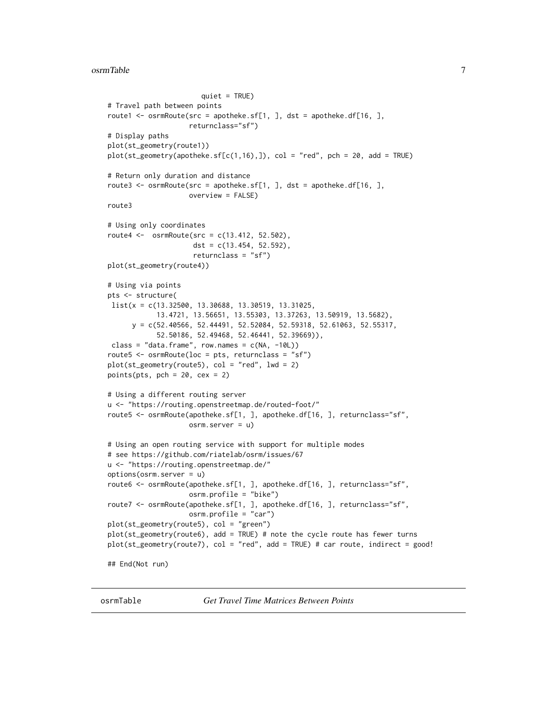#### <span id="page-6-0"></span>osrmTable 7 and 7 and 7 and 7 and 7 and 7 and 7 and 7 and 7 and 7 and 7 and 7 and 7 and 7 and 7 and 7 and 7 and 7 and 7 and 7 and 7 and 7 and 7 and 7 and 7 and 7 and 7 and 7 and 7 and 7 and 7 and 7 and 7 and 7 and 7 and 7

```
quiet = TRUE)
# Travel path between points
route1 \leq osrmRoute(src = apotheke.sf[1, ], dst = apotheke.df[16, ],
                    returnclass="sf")
# Display paths
plot(st_geometry(route1))
plot(st\_geometry(apoth eke.sf[c(1,16),]), col = "red", pch = 20, add = TRUE)# Return only duration and distance
route3 <- osrmRoute(src = apotheke.sf[1, ], dst = apotheke.df[16, ],
                    overview = FALSE)
route3
# Using only coordinates
route4 <- osrmRoute(src = c(13.412, 52.502),
                     dst = c(13.454, 52.592),
                     returnclass = "sf")
plot(st_geometry(route4))
# Using via points
pts <- structure(
list(x = c(13.32500, 13.30688, 13.30519, 13.31025,
            13.4721, 13.56651, 13.55303, 13.37263, 13.50919, 13.5682),
     y = c(52.40566, 52.44491, 52.52084, 52.59318, 52.61063, 52.55317,
            52.50186, 52.49468, 52.46441, 52.39669)),
class = "data.frame", row.names = c(NA, -10L))
route5 \leq osrmRoute(loc = pts, returnclass = "sf")
plot(st\_geometry(root5), col = "red", lwd = 2)points(pts, pch = 20, cex = 2)# Using a different routing server
u <- "https://routing.openstreetmap.de/routed-foot/"
route5 <- osrmRoute(apotheke.sf[1, ], apotheke.df[16, ], returnclass="sf",
                    osrm.server = u)
# Using an open routing service with support for multiple modes
# see https://github.com/riatelab/osrm/issues/67
u <- "https://routing.openstreetmap.de/"
options(osrm.server = u)
route6 <- osrmRoute(apotheke.sf[1, ], apotheke.df[16, ], returnclass="sf",
                    osrm.profile = "bike")
route7 <- osrmRoute(apotheke.sf[1, ], apotheke.df[16, ], returnclass="sf",
                    osrm.profile = "car")
plot(st_geometry(route5), col = "green")
plot(st_geometry(route6), add = TRUE) # note the cycle route has fewer turns
plot(st_geometry(route7), col = "red", add = TRUE) # car route, indirect = good!
## End(Not run)
```
<span id="page-6-1"></span>osrmTable *Get Travel Time Matrices Between Points*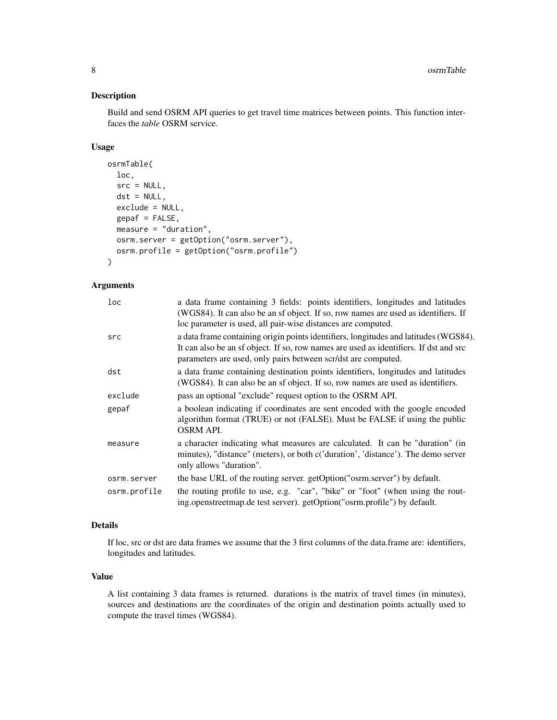#### Description

Build and send OSRM API queries to get travel time matrices between points. This function interfaces the *table* OSRM service.

#### Usage

```
osrmTable(
  loc,
  src = NULL,dst = NULL,exclude = NULL,
  gepaf = FALSE,measure = "duration",
 osrm.server = getOption("osrm.server"),
  osrm.profile = getOption("osrm.profile")
\lambda
```
#### Arguments

| loc          | a data frame containing 3 fields: points identifiers, longitudes and latitudes<br>(WGS84). It can also be an sf object. If so, row names are used as identifiers. If<br>loc parameter is used, all pair-wise distances are computed.           |
|--------------|------------------------------------------------------------------------------------------------------------------------------------------------------------------------------------------------------------------------------------------------|
| src          | a data frame containing origin points identifiers, longitudes and latitudes (WGS84).<br>It can also be an sf object. If so, row names are used as identifiers. If dst and src<br>parameters are used, only pairs between scr/dst are computed. |
| dst          | a data frame containing destination points identifiers, longitudes and latitudes<br>(WGS84). It can also be an sf object. If so, row names are used as identifiers.                                                                            |
| exclude      | pass an optional "exclude" request option to the OSRM API.                                                                                                                                                                                     |
| gepaf        | a boolean indicating if coordinates are sent encoded with the google encoded<br>algorithm format (TRUE) or not (FALSE). Must be FALSE if using the public<br><b>OSRM API.</b>                                                                  |
| measure      | a character indicating what measures are calculated. It can be "duration" (in<br>minutes), "distance" (meters), or both c('duration', 'distance'). The demo server<br>only allows "duration".                                                  |
| osrm.server  | the base URL of the routing server. getOption("osrm.server") by default.                                                                                                                                                                       |
| osrm.profile | the routing profile to use, e.g. "car", "bike" or "foot" (when using the rout-<br>ing.openstreetmap.de test server). getOption("osrm.profile") by default.                                                                                     |
|              |                                                                                                                                                                                                                                                |

#### Details

If loc, src or dst are data frames we assume that the 3 first columns of the data.frame are: identifiers, longitudes and latitudes.

#### Value

A list containing 3 data frames is returned. durations is the matrix of travel times (in minutes), sources and destinations are the coordinates of the origin and destination points actually used to compute the travel times (WGS84).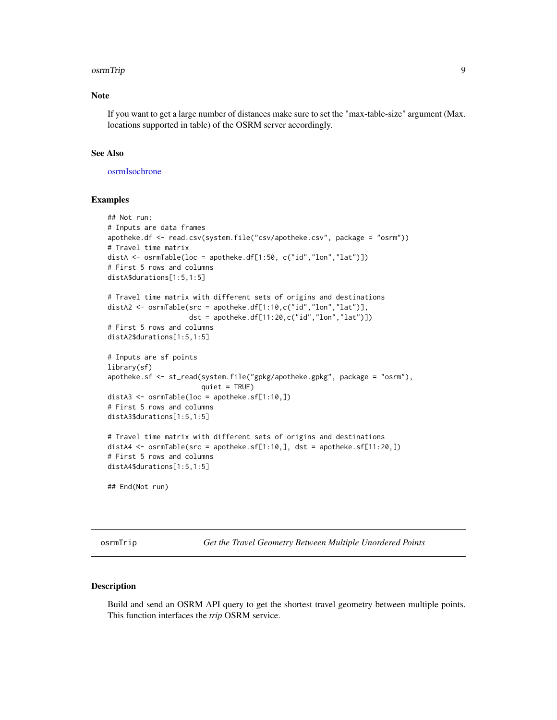#### <span id="page-8-0"></span>osrmTrip 9

#### Note

If you want to get a large number of distances make sure to set the "max-table-size" argument (Max. locations supported in table) of the OSRM server accordingly.

#### See Also

[osrmIsochrone](#page-2-1)

#### Examples

```
## Not run:
# Inputs are data frames
apotheke.df <- read.csv(system.file("csv/apotheke.csv", package = "osrm"))
# Travel time matrix
distA <- osrmTable(loc = apotheke.df[1:50, c("id","lon","lat")])
# First 5 rows and columns
distA$durations[1:5,1:5]
# Travel time matrix with different sets of origins and destinations
distA2 <- osrmTable(src = apotheke.df[1:10,c("id","lon","lat")],
                    dst = apotheke.df[11:20,c("id","lon","lat")])
# First 5 rows and columns
distA2$durations[1:5,1:5]
# Inputs are sf points
library(sf)
apotheke.sf <- st_read(system.file("gpkg/apotheke.gpkg", package = "osrm"),
                       quiet = TRUE)
distA3 <- osrmTable(loc = apotheke.sf[1:10,])
# First 5 rows and columns
distA3$durations[1:5,1:5]
# Travel time matrix with different sets of origins and destinations
distA4 \leq osrmTable(src = apotheke.sf[1:10,], dst = apotheke.sf[11:20,])
# First 5 rows and columns
distA4$durations[1:5,1:5]
```
## End(Not run)

<span id="page-8-1"></span>osrmTrip *Get the Travel Geometry Between Multiple Unordered Points*

#### Description

Build and send an OSRM API query to get the shortest travel geometry between multiple points. This function interfaces the *trip* OSRM service.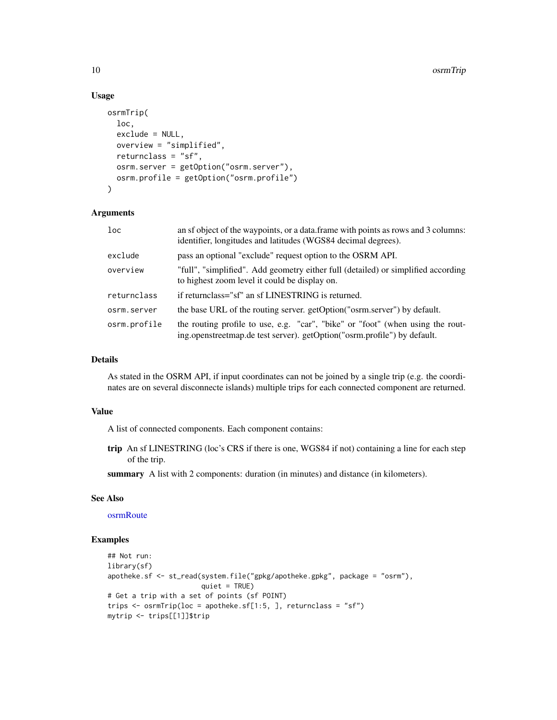#### Usage

```
osrmTrip(
  loc,
  exclude = NULL,
  overview = "simplified",
  returnclass = "sf",
 osrm.server = getOption("osrm.server"),
  osrm.profile = getOption("osrm.profile")
)
```
#### Arguments

| $1$ oc       | an sf object of the waypoints, or a data frame with points as rows and 3 columns:<br>identifier, longitudes and latitudes (WGS84 decimal degrees).         |
|--------------|------------------------------------------------------------------------------------------------------------------------------------------------------------|
| exclude      | pass an optional "exclude" request option to the OSRM API.                                                                                                 |
| overview     | "full", "simplified". Add geometry either full (detailed) or simplified according<br>to highest zoom level it could be display on.                         |
| returnclass  | if returnclass="sf" an sf LINESTRING is returned.                                                                                                          |
| osrm.server  | the base URL of the routing server. getOption("osrm.server") by default.                                                                                   |
| osrm.profile | the routing profile to use, e.g. "car", "bike" or "foot" (when using the rout-<br>ing.openstreetmap.de test server). getOption("osrm.profile") by default. |

#### Details

As stated in the OSRM API, if input coordinates can not be joined by a single trip (e.g. the coordinates are on several disconnecte islands) multiple trips for each connected component are returned.

#### Value

A list of connected components. Each component contains:

trip An sf LINESTRING (loc's CRS if there is one, WGS84 if not) containing a line for each step of the trip.

summary A list with 2 components: duration (in minutes) and distance (in kilometers).

#### See Also

[osrmRoute](#page-4-1)

#### Examples

```
## Not run:
library(sf)
apotheke.sf <- st_read(system.file("gpkg/apotheke.gpkg", package = "osrm"),
                       quiet = TRUE)
# Get a trip with a set of points (sf POINT)
trips \leq osrmTrip(loc = apotheke.sf[1:5, ], returnclass = "sf")
mytrip <- trips[[1]]$trip
```
<span id="page-9-0"></span>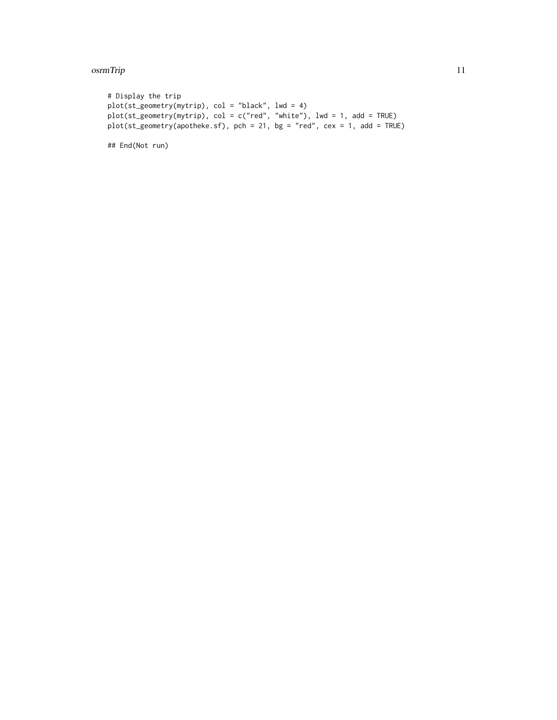#### osrmTrip 2012 and 2012 and 2012 and 2012 and 2012 and 2012 and 2012 and 2012 and 2012 and 2012 and 2012 and 20

```
# Display the trip
plot(st_geometry(mytrip), col = "black", lwd = 4)
plot(st_geometry(mytrip), col = c("red", "white"), lwd = 1, add = TRUE)
plot(st_geometry(apotheke.sf), pch = 21, bg = "red", cex = 1, add = TRUE)
```
## End(Not run)